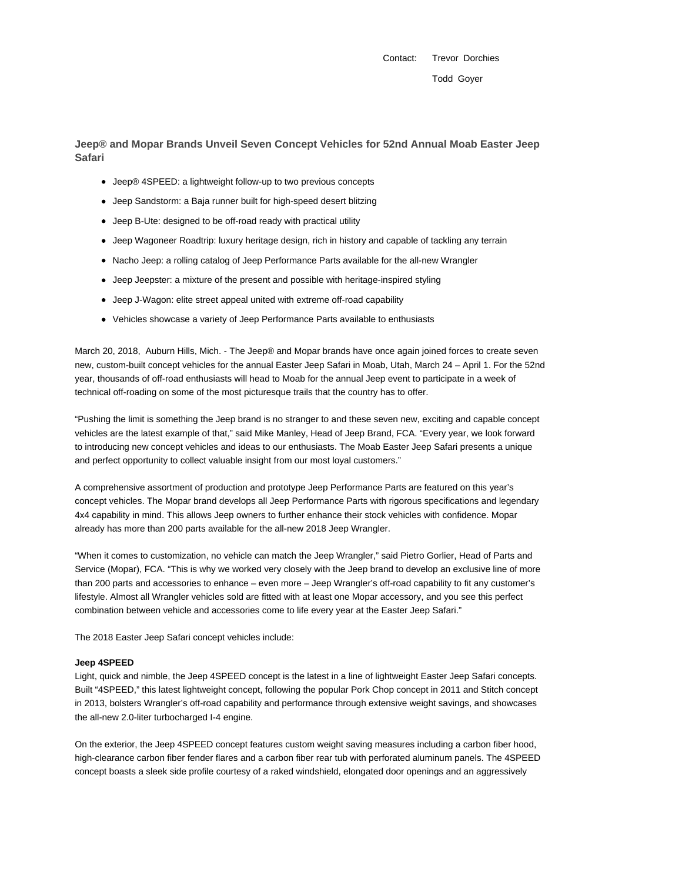Contact: Trevor Dorchies Todd Goyer

**Jeep® and Mopar Brands Unveil Seven Concept Vehicles for 52nd Annual Moab Easter Jeep Safari**

- Jeep® 4SPEED: a lightweight follow-up to two previous concepts
- Jeep Sandstorm: a Baja runner built for high-speed desert blitzing
- Jeep B-Ute: designed to be off-road ready with practical utility
- Jeep Wagoneer Roadtrip: luxury heritage design, rich in history and capable of tackling any terrain
- Nacho Jeep: a rolling catalog of Jeep Performance Parts available for the all-new Wrangler
- Jeep Jeepster: a mixture of the present and possible with heritage-inspired styling
- Jeep J-Wagon: elite street appeal united with extreme off-road capability
- Vehicles showcase a variety of Jeep Performance Parts available to enthusiasts

March 20, 2018, Auburn Hills, Mich. - The Jeep® and Mopar brands have once again joined forces to create seven new, custom-built concept vehicles for the annual Easter Jeep Safari in Moab, Utah, March 24 – April 1. For the 52nd year, thousands of off-road enthusiasts will head to Moab for the annual Jeep event to participate in a week of technical off-roading on some of the most picturesque trails that the country has to offer.

"Pushing the limit is something the Jeep brand is no stranger to and these seven new, exciting and capable concept vehicles are the latest example of that," said Mike Manley, Head of Jeep Brand, FCA. "Every year, we look forward to introducing new concept vehicles and ideas to our enthusiasts. The Moab Easter Jeep Safari presents a unique and perfect opportunity to collect valuable insight from our most loyal customers."

A comprehensive assortment of production and prototype Jeep Performance Parts are featured on this year's concept vehicles. The Mopar brand develops all Jeep Performance Parts with rigorous specifications and legendary 4x4 capability in mind. This allows Jeep owners to further enhance their stock vehicles with confidence. Mopar already has more than 200 parts available for the all-new 2018 Jeep Wrangler.

"When it comes to customization, no vehicle can match the Jeep Wrangler," said Pietro Gorlier, Head of Parts and Service (Mopar), FCA. "This is why we worked very closely with the Jeep brand to develop an exclusive line of more than 200 parts and accessories to enhance – even more – Jeep Wrangler's off-road capability to fit any customer's lifestyle. Almost all Wrangler vehicles sold are fitted with at least one Mopar accessory, and you see this perfect combination between vehicle and accessories come to life every year at the Easter Jeep Safari."

The 2018 Easter Jeep Safari concept vehicles include:

# **Jeep 4SPEED**

Light, quick and nimble, the Jeep 4SPEED concept is the latest in a line of lightweight Easter Jeep Safari concepts. Built "4SPEED," this latest lightweight concept, following the popular Pork Chop concept in 2011 and Stitch concept in 2013, bolsters Wrangler's off-road capability and performance through extensive weight savings, and showcases the all-new 2.0-liter turbocharged I-4 engine.

On the exterior, the Jeep 4SPEED concept features custom weight saving measures including a carbon fiber hood, high-clearance carbon fiber fender flares and a carbon fiber rear tub with perforated aluminum panels. The 4SPEED concept boasts a sleek side profile courtesy of a raked windshield, elongated door openings and an aggressively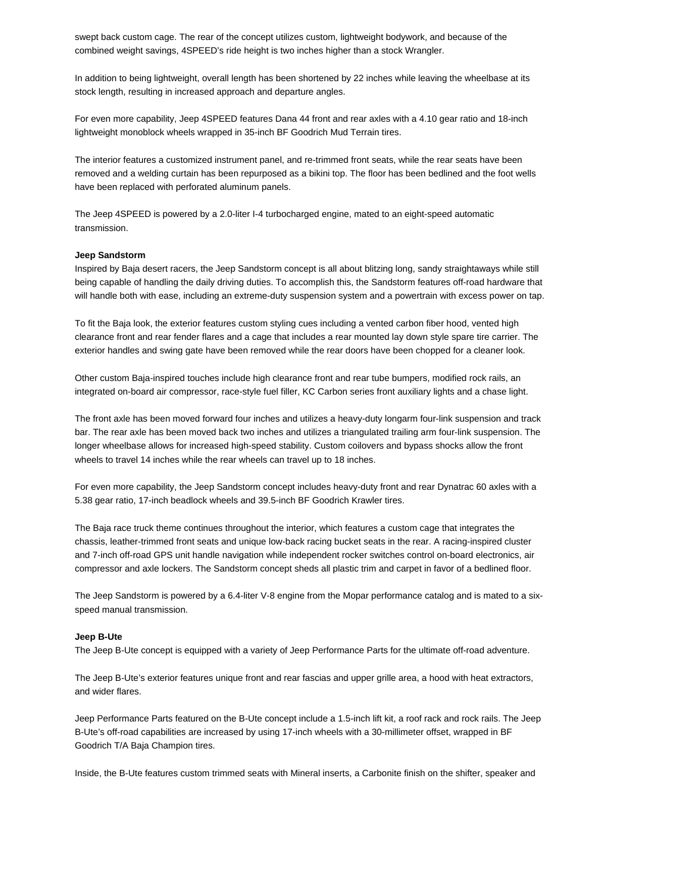swept back custom cage. The rear of the concept utilizes custom, lightweight bodywork, and because of the combined weight savings, 4SPEED's ride height is two inches higher than a stock Wrangler.

In addition to being lightweight, overall length has been shortened by 22 inches while leaving the wheelbase at its stock length, resulting in increased approach and departure angles.

For even more capability, Jeep 4SPEED features Dana 44 front and rear axles with a 4.10 gear ratio and 18-inch lightweight monoblock wheels wrapped in 35-inch BF Goodrich Mud Terrain tires.

The interior features a customized instrument panel, and re-trimmed front seats, while the rear seats have been removed and a welding curtain has been repurposed as a bikini top. The floor has been bedlined and the foot wells have been replaced with perforated aluminum panels.

The Jeep 4SPEED is powered by a 2.0-liter I-4 turbocharged engine, mated to an eight-speed automatic transmission.

### **Jeep Sandstorm**

Inspired by Baja desert racers, the Jeep Sandstorm concept is all about blitzing long, sandy straightaways while still being capable of handling the daily driving duties. To accomplish this, the Sandstorm features off-road hardware that will handle both with ease, including an extreme-duty suspension system and a powertrain with excess power on tap.

To fit the Baja look, the exterior features custom styling cues including a vented carbon fiber hood, vented high clearance front and rear fender flares and a cage that includes a rear mounted lay down style spare tire carrier. The exterior handles and swing gate have been removed while the rear doors have been chopped for a cleaner look.

Other custom Baja-inspired touches include high clearance front and rear tube bumpers, modified rock rails, an integrated on-board air compressor, race-style fuel filler, KC Carbon series front auxiliary lights and a chase light.

The front axle has been moved forward four inches and utilizes a heavy-duty longarm four-link suspension and track bar. The rear axle has been moved back two inches and utilizes a triangulated trailing arm four-link suspension. The longer wheelbase allows for increased high-speed stability. Custom coilovers and bypass shocks allow the front wheels to travel 14 inches while the rear wheels can travel up to 18 inches.

For even more capability, the Jeep Sandstorm concept includes heavy-duty front and rear Dynatrac 60 axles with a 5.38 gear ratio, 17-inch beadlock wheels and 39.5-inch BF Goodrich Krawler tires.

The Baja race truck theme continues throughout the interior, which features a custom cage that integrates the chassis, leather-trimmed front seats and unique low-back racing bucket seats in the rear. A racing-inspired cluster and 7-inch off-road GPS unit handle navigation while independent rocker switches control on-board electronics, air compressor and axle lockers. The Sandstorm concept sheds all plastic trim and carpet in favor of a bedlined floor.

The Jeep Sandstorm is powered by a 6.4-liter V-8 engine from the Mopar performance catalog and is mated to a sixspeed manual transmission.

## **Jeep B-Ute**

The Jeep B-Ute concept is equipped with a variety of Jeep Performance Parts for the ultimate off-road adventure.

The Jeep B-Ute's exterior features unique front and rear fascias and upper grille area, a hood with heat extractors, and wider flares.

Jeep Performance Parts featured on the B-Ute concept include a 1.5-inch lift kit, a roof rack and rock rails. The Jeep B-Ute's off-road capabilities are increased by using 17-inch wheels with a 30-millimeter offset, wrapped in BF Goodrich T/A Baja Champion tires.

Inside, the B-Ute features custom trimmed seats with Mineral inserts, a Carbonite finish on the shifter, speaker and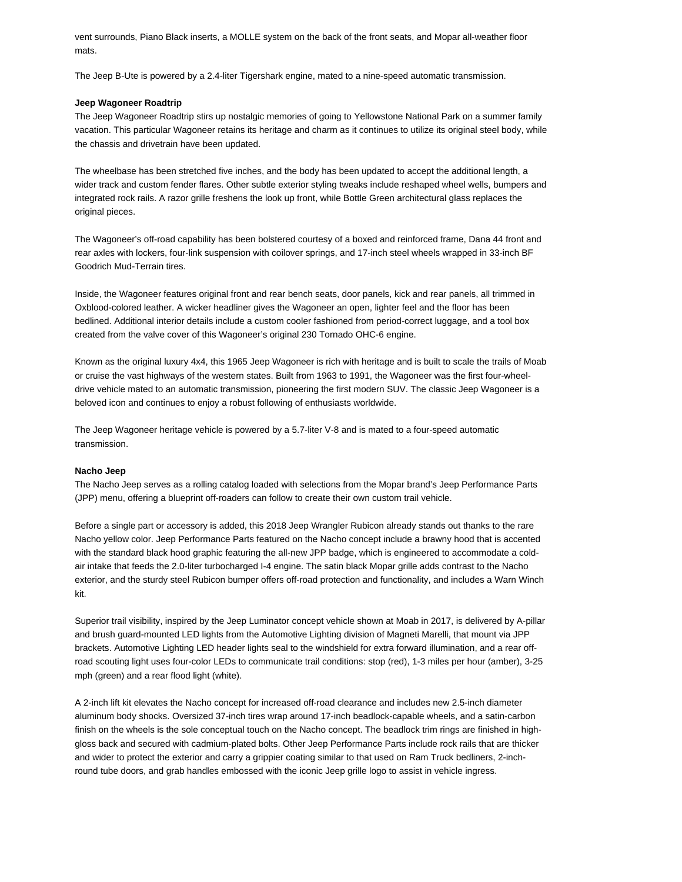vent surrounds, Piano Black inserts, a MOLLE system on the back of the front seats, and Mopar all-weather floor mats.

The Jeep B-Ute is powered by a 2.4-liter Tigershark engine, mated to a nine-speed automatic transmission.

# **Jeep Wagoneer Roadtrip**

The Jeep Wagoneer Roadtrip stirs up nostalgic memories of going to Yellowstone National Park on a summer family vacation. This particular Wagoneer retains its heritage and charm as it continues to utilize its original steel body, while the chassis and drivetrain have been updated.

The wheelbase has been stretched five inches, and the body has been updated to accept the additional length, a wider track and custom fender flares. Other subtle exterior styling tweaks include reshaped wheel wells, bumpers and integrated rock rails. A razor grille freshens the look up front, while Bottle Green architectural glass replaces the original pieces.

The Wagoneer's off-road capability has been bolstered courtesy of a boxed and reinforced frame, Dana 44 front and rear axles with lockers, four-link suspension with coilover springs, and 17-inch steel wheels wrapped in 33-inch BF Goodrich Mud-Terrain tires.

Inside, the Wagoneer features original front and rear bench seats, door panels, kick and rear panels, all trimmed in Oxblood-colored leather. A wicker headliner gives the Wagoneer an open, lighter feel and the floor has been bedlined. Additional interior details include a custom cooler fashioned from period-correct luggage, and a tool box created from the valve cover of this Wagoneer's original 230 Tornado OHC-6 engine.

Known as the original luxury 4x4, this 1965 Jeep Wagoneer is rich with heritage and is built to scale the trails of Moab or cruise the vast highways of the western states. Built from 1963 to 1991, the Wagoneer was the first four-wheeldrive vehicle mated to an automatic transmission, pioneering the first modern SUV. The classic Jeep Wagoneer is a beloved icon and continues to enjoy a robust following of enthusiasts worldwide.

The Jeep Wagoneer heritage vehicle is powered by a 5.7-liter V-8 and is mated to a four-speed automatic transmission.

## **Nacho Jeep**

The Nacho Jeep serves as a rolling catalog loaded with selections from the Mopar brand's Jeep Performance Parts (JPP) menu, offering a blueprint off-roaders can follow to create their own custom trail vehicle.

Before a single part or accessory is added, this 2018 Jeep Wrangler Rubicon already stands out thanks to the rare Nacho yellow color. Jeep Performance Parts featured on the Nacho concept include a brawny hood that is accented with the standard black hood graphic featuring the all-new JPP badge, which is engineered to accommodate a coldair intake that feeds the 2.0-liter turbocharged I-4 engine. The satin black Mopar grille adds contrast to the Nacho exterior, and the sturdy steel Rubicon bumper offers off-road protection and functionality, and includes a Warn Winch kit.

Superior trail visibility, inspired by the Jeep Luminator concept vehicle shown at Moab in 2017, is delivered by A-pillar and brush guard-mounted LED lights from the Automotive Lighting division of Magneti Marelli, that mount via JPP brackets. Automotive Lighting LED header lights seal to the windshield for extra forward illumination, and a rear offroad scouting light uses four-color LEDs to communicate trail conditions: stop (red), 1-3 miles per hour (amber), 3-25 mph (green) and a rear flood light (white).

A 2-inch lift kit elevates the Nacho concept for increased off-road clearance and includes new 2.5-inch diameter aluminum body shocks. Oversized 37-inch tires wrap around 17-inch beadlock-capable wheels, and a satin-carbon finish on the wheels is the sole conceptual touch on the Nacho concept. The beadlock trim rings are finished in highgloss back and secured with cadmium-plated bolts. Other Jeep Performance Parts include rock rails that are thicker and wider to protect the exterior and carry a grippier coating similar to that used on Ram Truck bedliners, 2-inchround tube doors, and grab handles embossed with the iconic Jeep grille logo to assist in vehicle ingress.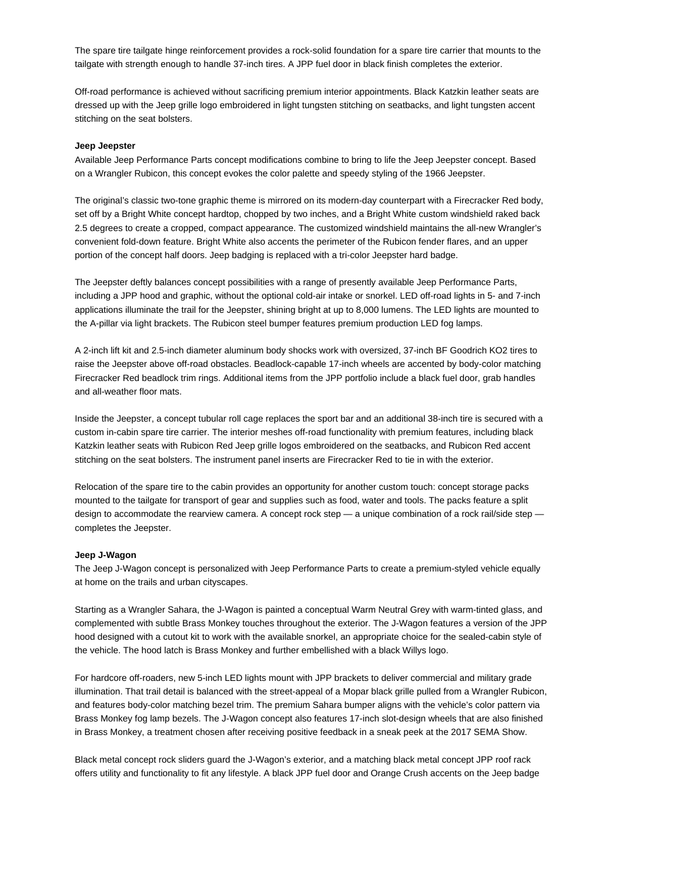The spare tire tailgate hinge reinforcement provides a rock-solid foundation for a spare tire carrier that mounts to the tailgate with strength enough to handle 37-inch tires. A JPP fuel door in black finish completes the exterior.

Off-road performance is achieved without sacrificing premium interior appointments. Black Katzkin leather seats are dressed up with the Jeep grille logo embroidered in light tungsten stitching on seatbacks, and light tungsten accent stitching on the seat bolsters.

## **Jeep Jeepster**

Available Jeep Performance Parts concept modifications combine to bring to life the Jeep Jeepster concept. Based on a Wrangler Rubicon, this concept evokes the color palette and speedy styling of the 1966 Jeepster.

The original's classic two-tone graphic theme is mirrored on its modern-day counterpart with a Firecracker Red body, set off by a Bright White concept hardtop, chopped by two inches, and a Bright White custom windshield raked back 2.5 degrees to create a cropped, compact appearance. The customized windshield maintains the all-new Wrangler's convenient fold-down feature. Bright White also accents the perimeter of the Rubicon fender flares, and an upper portion of the concept half doors. Jeep badging is replaced with a tri-color Jeepster hard badge.

The Jeepster deftly balances concept possibilities with a range of presently available Jeep Performance Parts, including a JPP hood and graphic, without the optional cold-air intake or snorkel. LED off-road lights in 5- and 7-inch applications illuminate the trail for the Jeepster, shining bright at up to 8,000 lumens. The LED lights are mounted to the A-pillar via light brackets. The Rubicon steel bumper features premium production LED fog lamps.

A 2-inch lift kit and 2.5-inch diameter aluminum body shocks work with oversized, 37-inch BF Goodrich KO2 tires to raise the Jeepster above off-road obstacles. Beadlock-capable 17-inch wheels are accented by body-color matching Firecracker Red beadlock trim rings. Additional items from the JPP portfolio include a black fuel door, grab handles and all-weather floor mats.

Inside the Jeepster, a concept tubular roll cage replaces the sport bar and an additional 38-inch tire is secured with a custom in-cabin spare tire carrier. The interior meshes off-road functionality with premium features, including black Katzkin leather seats with Rubicon Red Jeep grille logos embroidered on the seatbacks, and Rubicon Red accent stitching on the seat bolsters. The instrument panel inserts are Firecracker Red to tie in with the exterior.

Relocation of the spare tire to the cabin provides an opportunity for another custom touch: concept storage packs mounted to the tailgate for transport of gear and supplies such as food, water and tools. The packs feature a split design to accommodate the rearview camera. A concept rock step - a unique combination of a rock rail/side step completes the Jeepster.

## **Jeep J-Wagon**

The Jeep J-Wagon concept is personalized with Jeep Performance Parts to create a premium-styled vehicle equally at home on the trails and urban cityscapes.

Starting as a Wrangler Sahara, the J-Wagon is painted a conceptual Warm Neutral Grey with warm-tinted glass, and complemented with subtle Brass Monkey touches throughout the exterior. The J-Wagon features a version of the JPP hood designed with a cutout kit to work with the available snorkel, an appropriate choice for the sealed-cabin style of the vehicle. The hood latch is Brass Monkey and further embellished with a black Willys logo.

For hardcore off-roaders, new 5-inch LED lights mount with JPP brackets to deliver commercial and military grade illumination. That trail detail is balanced with the street-appeal of a Mopar black grille pulled from a Wrangler Rubicon, and features body-color matching bezel trim. The premium Sahara bumper aligns with the vehicle's color pattern via Brass Monkey fog lamp bezels. The J-Wagon concept also features 17-inch slot-design wheels that are also finished in Brass Monkey, a treatment chosen after receiving positive feedback in a sneak peek at the 2017 SEMA Show.

Black metal concept rock sliders guard the J-Wagon's exterior, and a matching black metal concept JPP roof rack offers utility and functionality to fit any lifestyle. A black JPP fuel door and Orange Crush accents on the Jeep badge